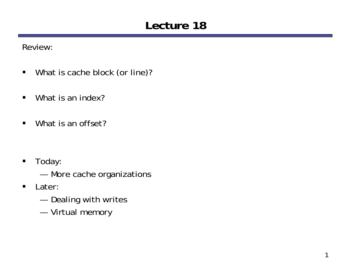## **Lecture 18**

Review:

- $\blacksquare$ What is cache block (or line)?
- $\blacksquare$ What is an index?
- $\blacksquare$ What is an offset?

- $\blacksquare$  Today:
	- and the control of the control of More cache organizations
- $\blacksquare$  Later:
	- —Dealing with writes
	- ———— Virtual memory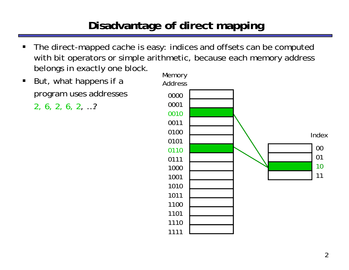# **Disadvantage of direct mapping**

- $\blacksquare$  The direct-mapped cache is easy: indices and offsets can be computed with bit operators or simple arithmetic, because each memory address belongs in exactly one block.
- $\blacksquare$  But, what happens if a program uses addresses

2, 6, 2, 6, 2, …?

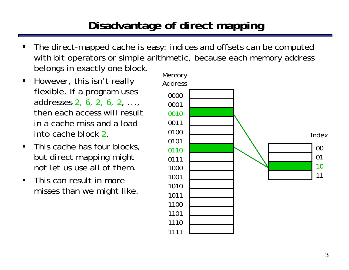## **Disadvantage of direct mapping**

- ш The direct-mapped cache is easy: indices and offsets can be computed with bit operators or simple arithmetic, because each memory address belongs in exactly one block.
- $\blacksquare$  However, this isn't really flexible. If a program uses addresses 2, 6, 2, 6, 2, ..., then each access will resultin a cache miss and a loadinto cache block 2.
- This cache has four blocks, but direct mapping might not let us use all of them.
- $\blacksquare$  This can result in moremisses than we might like.

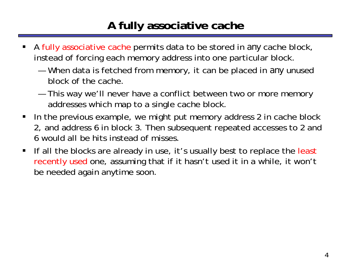## **A fully associative cache**

- ш A fully associative cache permits data to be stored in *any* cache block, instead of forcing each memory address into one particular block.
	- and the control of the control of When data is fetched from memory, it can be placed in *any* unused block of the cache.
	- — This way we'll never have a conflict between two or more memory addresses which map to a single cache block.
- $\blacksquare$  In the previous example, we might put memory address 2 in cache block 2, and address 6 in block 3. Then subsequent repeated accesses to 2 and 6 would all be hits instead of misses.
- $\blacksquare$ If all the blocks are already in use, it's usually best to replace the least recently used one, assuming that if it hasn't used it in a while, it won't be needed again anytime soon.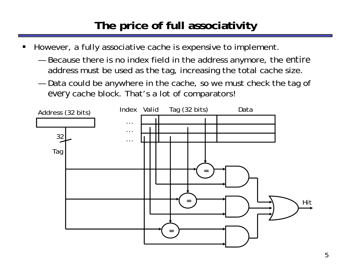# **The price of full associativity**

- ш However, a fully associative cache is expensive to implement.
	- and the control of the control of Because there is no index field in the address anymore, the *entire* address must be used as the tag, increasing the total cache size.
	- — Data could be anywhere in the cache, so we must check the tag of *every* cache block. That's a lot of comparators!

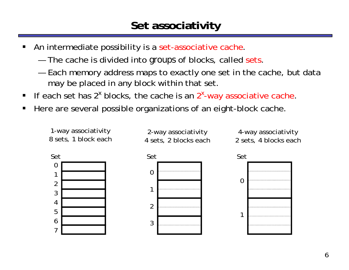## **Set associativity**

- ш An intermediate possibility is a set-associative cache.
	- and the control of the control of The cache is divided into *groups* of blocks, called sets.
	- — Each memory address maps to exactly one set in the cache, but data may be placed in any block within that set.
- If each set has 2<sup>x</sup> blocks, the cache is an 2<sup>x</sup>-way associative cache.
- П Here are several possible organizations of an eight-block cache.

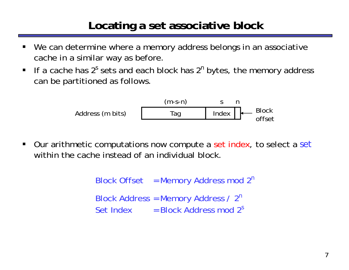### **Locating a set associative block**

- ш We can determine where a memory address belongs in an associative cache in a similar way as before.
- If a cache has 2<sup>*s*</sup> sets and each block has 2<sup>n</sup> bytes, the memory address can be partitioned as follows.

Address (m bits) (m-s-n) <sup>n</sup> <sup>s</sup> Tag Index Block offset

 $\blacksquare$  Our arithmetic computations now compute a set index, to select a *set* within the cache instead of an individual block.

> Block Offset = Memory Address mod 2*<sup>n</sup>* Block Address = Memory Address / 2*<sup>n</sup>* Set Index = Block Address mod 2<sup>s</sup>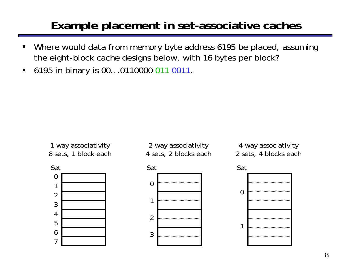#### **Example placement in set-associative caches**

- ш Where would data from memory byte address 6195 be placed, assuming the eight-block cache designs below, with 16 bytes per block?
- $\blacksquare$ 6195 in binary is 00...0110000 011 0011.









4-way associativity 2 sets, 4 blocks each

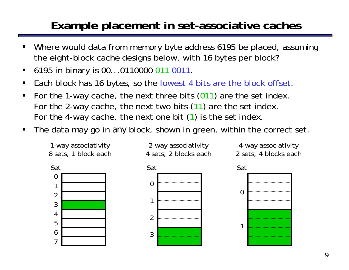## **Example placement in set-associative caches**

- ш Where would data from memory byte address 6195 be placed, assuming the eight-block cache designs below, with 16 bytes per block?
- $\blacksquare$ 6195 in binary is 00...0110000 011 0011.
- $\blacksquare$ Each block has 16 bytes, so the lowest 4 bits are the block offset.
- $\blacksquare$  For the 1-way cache, the next three bits (011) are the set index. For the 2-way cache, the next two bits (11) are the set index. For the 4-way cache, the next one bit ( 1) is the set index.
- $\blacksquare$ The data may go in *any* block, shown in green, within the correct set.

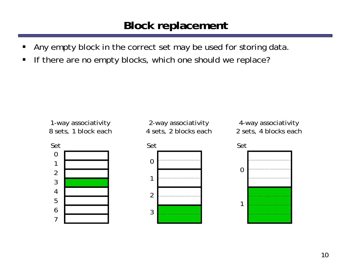#### **Block replacement**

- ш Any empty block in the correct set may be used for storing data.
- $\blacksquare$ If there are no empty blocks, which one should we replace?

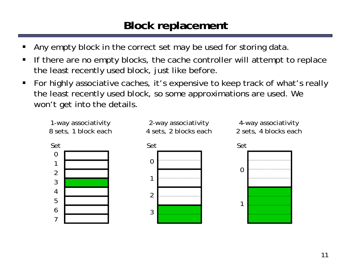### **Block replacement**

- ш Any empty block in the correct set may be used for storing data.
- $\blacksquare$  If there are no empty blocks, the cache controller will attempt to replace the least recently used block, just like before.
- $\blacksquare$  For highly associative caches, it's expensive to keep track of what's really the least recently used block, so some approximations are used. We won't get into the details.

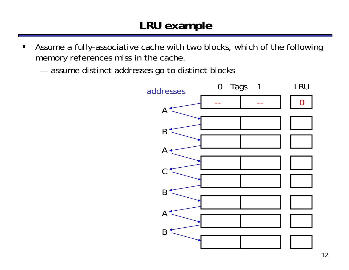- $\blacksquare$  Assume a fully-associative cache with two blocks, which of the following memory references miss in the cache.
	- and the control of the control of assume distinct addresses go to distinct blocks

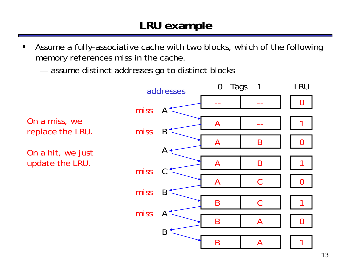- $\blacksquare$  Assume a fully-associative cache with two blocks, which of the following memory references miss in the cache.
	- and the control of the control of assume distinct addresses go to distinct blocks

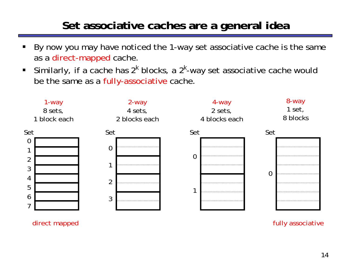#### **Set associative caches are a general idea**

- ш By now you may have noticed the 1-way set associative cache is the same as a direct-mapped cache.
- $\blacksquare$  . Similarly, if a cache has 2*<sup>k</sup>* blocks, a 2*<sup>k</sup>*-way set associative cache would be the same as a fully-associative cache.



direct mapped and the control of the control of the control of the control of the control of the control of the control of the control of the control of the control of the control of the control of the control of the contr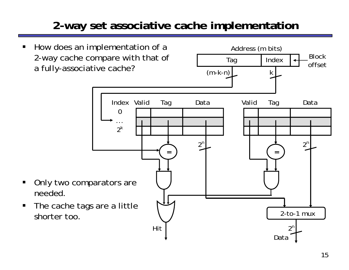## **2-way set associative cache implementation**